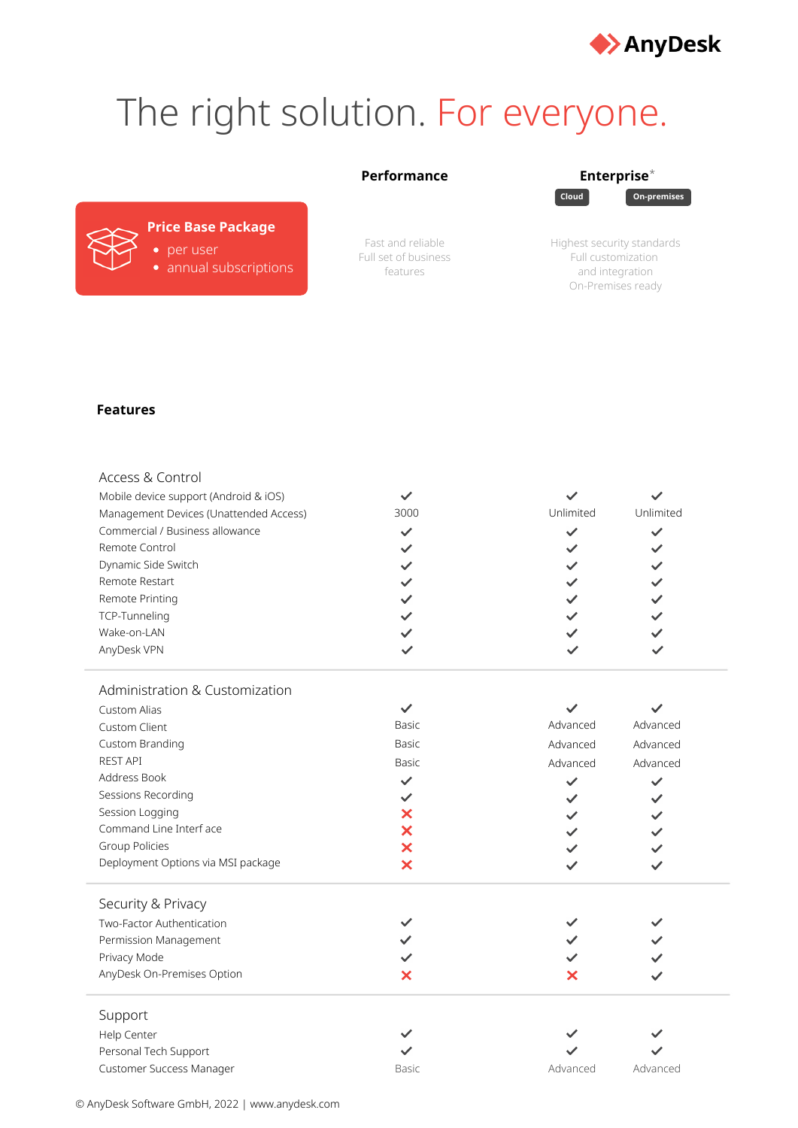

## The right solution. For everyone.

## **Performance Enterprise**\*

**Cloud On-premises**

## **Price Base Package** per user

annual subscriptions

Fast and reliable Full set of business features

| Highest security standards |
|----------------------------|
| Full customization         |
| and integration            |
| On-Premises ready          |

## **Features**